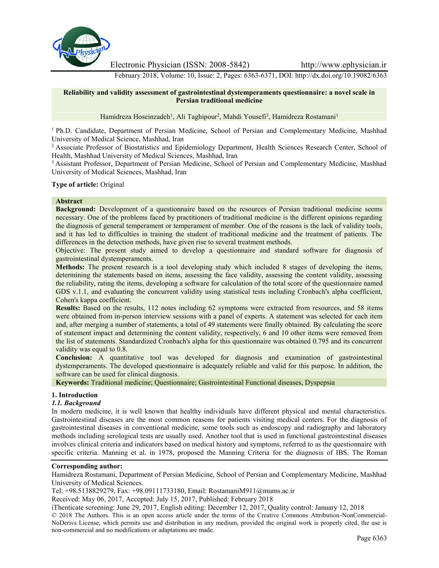

Electronic Physician (ISSN: 2008-5842) http://www.ephysician.ir

February 2018, Volume: 10, Issue: 2, Pages: 6363-6371, DOI: http://dx.doi.org/10.19082/6363

#### **Reliability and validity assessment of gastrointestinal dystemperaments questionnaire: a novel scale in Persian traditional medicine**

Hamidreza Hoseinzadeh<sup>1</sup>, Ali Taghipour<sup>2</sup>, Mahdi Yousefi<sup>3</sup>, Hamidreza Rostamani<sup>1</sup>

<sup>1</sup> Ph.D. Candidate, Department of Persian Medicine, School of Persian and Complementary Medicine, Mashhad University of Medical Science, Mashhad, Iran

<sup>2</sup> Associate Professor of Biostatistics and Epidemiology Department, Health Sciences Research Center, School of Health, Mashhad University of Medical Sciences, Mashhad, Iran

<sup>3</sup> Assistant Professor, Department of Persian Medicine, School of Persian and Complementary Medicine, Mashhad University of Medical Sciences, Mashhad, Iran

#### **Type of article:** Original

#### **Abstract**

**Background:** Development of a questionnaire based on the resources of Persian traditional medicine seems necessary. One of the problems faced by practitioners of traditional medicine is the different opinions regarding the diagnosis of general temperament or temperament of member. One of the reasons is the lack of validity tools, and it has led to difficulties in training the student of traditional medicine and the treatment of patients. The differences in the detection methods, have given rise to several treatment methods.

Objective: The present study aimed to develop a questionnaire and standard software for diagnosis of gastrointestinal dystemperaments.

**Methods:** The present research is a tool developing study which included 8 stages of developing the items, determining the statements based on items, assessing the face validity, assessing the content validity, assessing the reliability, rating the items, developing a software for calculation of the total score of the questionnaire named GDS v.1.1, and evaluating the concurrent validity using statistical tests including Cronbach's alpha coefficient, Cohen's kappa coefficient.

**Results:** Based on the results, 112 notes including 62 symptoms were extracted from resources, and 58 items were obtained from in-person interview sessions with a panel of experts. A statement was selected for each item and, after merging a number of statements, a total of 49 statements were finally obtained. By calculating the score of statement impact and determining the content validity, respectively, 6 and 10 other items were removed from the list of statements. Standardized Cronbach's alpha for this questionnaire was obtained 0.795 and its concurrent validity was equal to 0.8.

**Conclusion:** A quantitative tool was developed for diagnosis and examination of gastrointestinal dystemperaments. The developed questionnaire is adequately reliable and valid for this purpose. In addition, the software can be used for clinical diagnosis.

**Keywords:** Traditional medicine; Questionnaire; Gastrointestinal Functional diseases, Dyspepsia

# **1. Introduction**

#### *1.1. Background*

In modern medicine, it is well known that healthy individuals have different physical and mental characteristics. Gastrointestinal diseases are the most common reasons for patients visiting medical centers. For the diagnosis of gastrointestinal diseases in conventional medicine, some tools such as endoscopy and radiography and laboratory methods including serological tests are usually used. Another tool that is used in functional gastrointestinal diseases involves clinical criteria and indicators based on medical history and symptoms, referred to as the questionnaire with specific criteria. Manning et al. in 1978, proposed the Manning Criteria for the diagnosis of IBS. The Roman

#### **Corresponding author:**

Hamidreza Rostamani, Department of Persian Medicine, School of Persian and Complementary Medicine, Mashhad University of Medical Sciences.

Tel: +98.5138829279, Fax: +98.09111733180, Email: RostamaniM911@mums.ac.ir

Received: May 06, 2017, Accepted: July 15, 2017, Published: February 2018

iThenticate screening: June 29, 2017, English editing: December 12, 2017, Quality control: January 12, 2018

© 2018 The Authors. This is an open access article under the terms of the Creative Commons Attribution-NonCommercial- NoDerivs License, which permits use and distribution in any medium, provided the original work is properly cited, the use is non-commercial and no modifications or adaptations are made.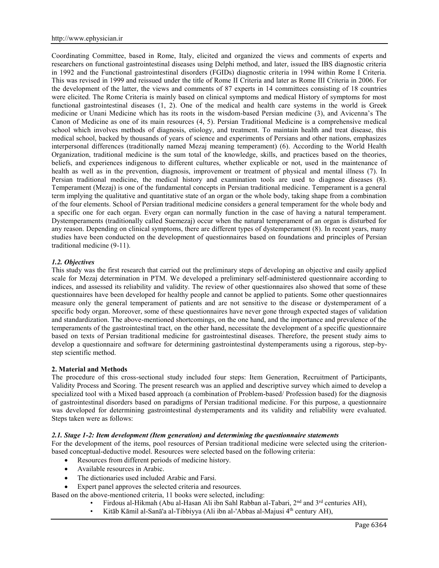Coordinating Committee, based in Rome, Italy, elicited and organized the views and comments of experts and researchers on functional gastrointestinal diseases using Delphi method, and later, issued the IBS diagnostic criteria in 1992 and the Functional gastrointestinal disorders (FGIDs) diagnostic criteria in 1994 within Rome I Criteria. This was revised in 1999 and reissued under the title of Rome II Criteria and later as Rome III Criteria in 2006. For the development of the latter, the views and comments of 87 experts in 14 committees consisting of 18 countries were elicited. The Rome Criteria is mainly based on clinical symptoms and medical History of symptoms for most functional gastrointestinal diseases (1, 2). One of the medical and health care systems in the world is Greek medicine or Unani Medicine which has its roots in the wisdom-based Persian medicine (3), and Avicenna's The Canon of Medicine as one of its main resources (4, 5). Persian Traditional Medicine is a comprehensive medical school which involves methods of diagnosis, etiology, and treatment. To maintain health and treat disease, this medical school, backed by thousands of years of science and experiments of Persians and other nations, emphasizes interpersonal differences (traditionally named Mezaj meaning temperament) (6). According to the World Health Organization, traditional medicine is the sum total of the knowledge, skills, and practices based on the theories, beliefs, and experiences indigenous to different cultures, whether explicable or not, used in the maintenance of health as well as in the prevention, diagnosis, improvement or treatment of physical and mental illness (7). In Persian traditional medicine, the medical history and examination tools are used to diagnose diseases (8). Temperament (Mezaj) is one of the fundamental concepts in Persian traditional medicine. Temperament is a general term implying the qualitative and quantitative state of an organ or the whole body, taking shape from a combination of the four elements. School of Persian traditional medicine considers a general temperament for the whole body and a specific one for each organ. Every organ can normally function in the case of having a natural temperament. Dystemperaments (traditionally called Suemezaj) occur when the natural temperament of an organ is disturbed for any reason. Depending on clinical symptoms, there are different types of dystemperament (8). In recent years, many studies have been conducted on the development of questionnaires based on foundations and principles of Persian traditional medicine (9-11).

# *1.2. Objectives*

This study was the first research that carried out the preliminary steps of developing an objective and easily applied scale for Mezaj determination in PTM. We developed a preliminary self-administered questionnaire according to indices, and assessed its reliability and validity. The review of other questionnaires also showed that some of these questionnaires have been developed for healthy people and cannot be applied to patients. Some other questionnaires measure only the general temperament of patients and are not sensitive to the disease or dystemperament of a specific body organ. Moreover, some of these questionnaires have never gone through expected stages of validation and standardization. The above-mentioned shortcomings, on the one hand, and the importance and prevalence of the temperaments of the gastrointestinal tract, on the other hand, necessitate the development of a specific questionnaire based on texts of Persian traditional medicine for gastrointestinal diseases. Therefore, the present study aims to develop a questionnaire and software for determining gastrointestinal dystemperaments using a rigorous, step-by step scientific method.

#### **2. Material and Methods**

The procedure of this cross-sectional study included four steps: Item Generation, Recruitment of Participants, Validity Process and Scoring. The present research was an applied and descriptive survey which aimed to develop a specialized tool with a Mixed based approach (a combination of Problem-based/ Profession based) for the diagnosis of gastrointestinal disorders based on paradigms of Persian traditional medicine. For this purpose, a questionnaire was developed for determining gastrointestinal dystemperaments and its validity and reliability were evaluated. Steps taken were as follows:

#### *2.1. Stage 1-2: Item development (Item generation) and determining the questionnaire statements*

For the development of the items, pool resources of Persian traditional medicine were selected using the criterion based conceptual-deductive model. Resources were selected based on the following criteria:

- Resources from different periods of medicine history.
- Available resources in Arabic.
- The dictionaries used included Arabic and Farsi.
- Expert panel approves the selected criteria and resources.
- Based on the above-mentioned criteria, 11 books were selected, including:
	- Firdous al-Hikmah (Abu al-Hasan Ali ibn Sahl Rabban al-Tabari, 2nd and 3rd centuries AH),
	- Kitāb Kāmil al-Sanā'a al-Tibbiyya (Ali ibn al-'Abbas al-Majusi 4<sup>th</sup> century AH),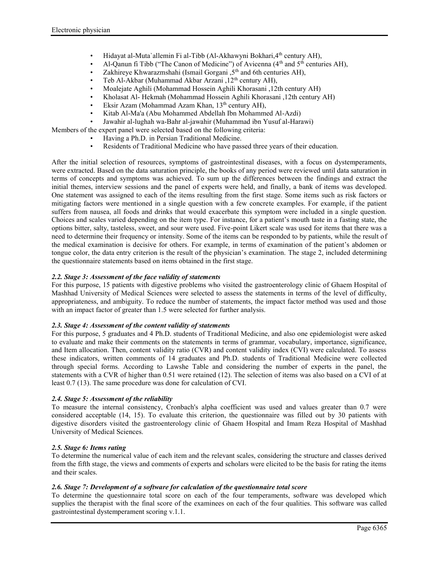- Hidayat al-Muta`allemin Fi al-Tibb (Al-Akhawyni Bokhari, 4<sup>th</sup> century AH),
- Al-Qanun fi Tibb ("The Canon of Medicine") of Avicenna  $(4<sup>th</sup>$  and  $5<sup>th</sup>$  centuries AH),
- Zakhireye Khwarazmshahi (Ismail Gorgani , 5<sup>th</sup> and 6th centuries AH),
- Teb Al-Akbar (Muhammad Akbar Arzani, 12<sup>th</sup> century AH),
- Moalejate Aghili (Mohammad Hossein Aghili Khorasani ,12th century AH)
- Kholasat Al- Hekmah (Mohammad Hossein Aghili Khorasani ,12th century AH)
- Eksir Azam (Mohammad Azam Khan, 13<sup>th</sup> century AH),
- Kitab Al-Ma'a (Abu Mohammed Abdellah Ibn Mohammed Al-Azdi)
- Jawahir al-lughah wa-Bahr al-jawahir (Muhammad ibn Yusuf al-Harawi)

Members of the expert panel were selected based on the following criteria:

- Having a Ph.D. in Persian Traditional Medicine.
	- Residents of Traditional Medicine who have passed three years of their education.

After the initial selection of resources, symptoms of gastrointestinal diseases, with a focus on dystemperaments, were extracted. Based on the data saturation principle, the books of any period were reviewed until data saturation in terms of concepts and symptoms was achieved. To sum up the differences between the findings and extract the initial themes, interview sessions and the panel of experts were held, and finally, a bank of items was developed. One statement was assigned to each of the items resulting from the first stage. Some items such as risk factors or mitigating factors were mentioned in a single question with a few concrete examples. For example, if the patient suffers from nausea, all foods and drinks that would exacerbate this symptom were included in a single question. Choices and scales varied depending on the item type. For instance, for a patient's mouth taste in a fasting state, the options bitter, salty, tasteless, sweet, and sour were used. Five-point Likert scale was used for items that there was a need to determine their frequency or intensity. Some of the items can be responded to by patients, while the result of the medical examination is decisive for others. For example, in terms of examination of the patient's abdomen or tongue color, the data entry criterion is the result of the physician's examination. The stage 2, included determining the questionnaire statements based on items obtained in the first stage.

# *2.2. Stage 3: Assessment of the face validity of statements*

For this purpose, 15 patients with digestive problems who visited the gastroenterology clinic of Ghaem Hospital of Mashhad University of Medical Sciences were selected to assess the statements in terms of the level of difficulty, appropriateness, and ambiguity. To reduce the number of statements, the impact factor method was used and those with an impact factor of greater than 1.5 were selected for further analysis.

# *2.3. Stage 4: Assessment of the content validity of statements*

For this purpose, 5 graduates and 4 Ph.D. students of Traditional Medicine, and also one epidemiologist were asked to evaluate and make their comments on the statements in terms of grammar, vocabulary, importance, significance, and Item allocation. Then, content validity ratio (CVR) and content validity index (CVI) were calculated. To assess these indicators, written comments of 14 graduates and Ph.D. students of Traditional Medicine were collected through special forms. According to Lawshe Table and considering the number of experts in the panel, the statements with a CVR of higher than 0.51 were retained (12). The selection of items was also based on a CVI of at least 0.7 (13). The same procedure was done for calculation of CVI.

# *2.4. Stage 5: Assessment of the reliability*

To measure the internal consistency, Cronbach's alpha coefficient was used and values greater than 0.7 were considered acceptable (14, 15). To evaluate this criterion, the questionnaire was filled out by 30 patients with digestive disorders visited the gastroenterology clinic of Ghaem Hospital and Imam Reza Hospital of Mashhad University of Medical Sciences.

# *2.5. Stage 6: Items rating*

To determine the numerical value of each item and the relevant scales, considering the structure and classes derived from the fifth stage, the views and comments of experts and scholars were elicited to be the basis for rating the items and their scales.

# *2.6. Stage 7: Development of a software for calculation of the questionnaire total score*

To determine the questionnaire total score on each of the four temperaments, software was developed which supplies the therapist with the final score of the examinees on each of the four qualities. This software was called gastrointestinal dystemperament scoring v.1.1.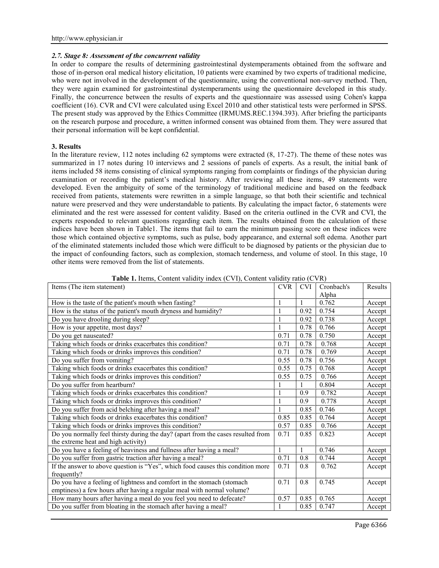# *2.7. Stage 8: Assessment of the concurrent validity*

In order to compare the results of determining gastrointestinal dystemperaments obtained from the software and those of in-person oral medical history elicitation, 10 patients were examined by two experts of traditional medicine, who were not involved in the development of the questionnaire, using the conventional non-survey method. Then, they were again examined for gastrointestinal dystemperaments using the questionnaire developed in this study. Finally, the concurrence between the results of experts and the questionnaire was assessed using Cohen's kappa coefficient (16). CVR and CVI were calculated using Excel 2010 and other statistical tests were performed in SPSS. The present study was approved by the Ethics Committee (IRMUMS.REC.1394.393). After briefing the participants on the research purpose and procedure, a written informed consent was obtained from them. They were assured that their personal information will be kept confidential.

# **3. Results**

In the literature review, 112 notes including 62 symptoms were extracted (8, 17-27). The theme of these notes was summarized in 17 notes during 10 interviews and 2 sessions of panels of experts. As a result, the initial bank of items included 58 items consisting of clinical symptoms ranging from complaints or findings of the physician during examination or recording the patient's medical history. After reviewing all these items, 49 statements were developed. Even the ambiguity of some of the terminology of traditional medicine and based on the feedback received from patients, statements were rewritten in a simple language, so that both their scientific and technical nature were preserved and they were understandable to patients. By calculating the impact factor, 6 statements were eliminated and the rest were assessed for content validity. Based on the criteria outlined in the CVR and CVI, the experts responded to relevant questions regarding each item. The results obtained from the calculation of these indices have been shown in Table1. The items that fail to earn the minimum passing score on these indices were those which contained objective symptoms, such as pulse, body appearance, and external soft edema. Another part of the eliminated statements included those which were difficult to be diagnosed by patients or the physician due to the impact of confounding factors, such as complexion, stomach tenderness, and volume of stool. In this stage, 10 other items were removed from the list of statements.

| <b>Fabre 1.</b> Hems, Coment vandry much (C v I), Coment vandry ratio (C v IV)<br>Items (The item statement) | <b>CVR</b>   | <b>CVI</b> | Cronbach's | Results |
|--------------------------------------------------------------------------------------------------------------|--------------|------------|------------|---------|
|                                                                                                              |              |            | Alpha      |         |
| How is the taste of the patient's mouth when fasting?                                                        |              |            | 0.762      | Accept  |
| How is the status of the patient's mouth dryness and humidity?                                               | $\mathbf{1}$ | 0.92       | 0.754      | Accept  |
| Do you have drooling during sleep?                                                                           | $\mathbf{1}$ | 0.92       | 0.738      | Accept  |
| How is your appetite, most days?                                                                             | $\mathbf{1}$ | 0.78       | 0.766      | Accept  |
| Do you get nauseated?                                                                                        | 0.71         | 0.78       | 0.750      | Accept  |
| Taking which foods or drinks exacerbates this condition?                                                     | 0.71         | 0.78       | 0.768      | Accept  |
| Taking which foods or drinks improves this condition?                                                        | 0.71         | 0.78       | 0.769      | Accept  |
| Do you suffer from vomiting?                                                                                 | 0.55         | 0.78       | 0.756      | Accept  |
| Taking which foods or drinks exacerbates this condition?                                                     | 0.55         | 0.75       | 0.768      | Accept  |
| Taking which foods or drinks improves this condition?                                                        | 0.55         | 0.75       | 0.766      | Accept  |
| Do you suffer from heartburn?                                                                                |              |            | 0.804      | Accept  |
| Taking which foods or drinks exacerbates this condition?                                                     | 1            | 0.9        | 0.782      | Accept  |
| Taking which foods or drinks improves this condition?                                                        | $\mathbf{1}$ | 0.9        | 0.778      | Accept  |
| Do you suffer from acid belching after having a meal?                                                        | 1            | 0.85       | 0.746      | Accept  |
| Taking which foods or drinks exacerbates this condition?                                                     | 0.85         | 0.85       | 0.764      | Accept  |
| Taking which foods or drinks improves this condition?                                                        | 0.57         | 0.85       | 0.766      | Accept  |
| Do you normally feel thirsty during the day? (apart from the cases resulted from                             |              | 0.85       | 0.823      | Accept  |
| the extreme heat and high activity)                                                                          |              |            |            |         |
| Do you have a feeling of heaviness and fullness after having a meal?                                         | 1            |            | 0.746      | Accept  |
| Do you suffer from gastric traction after having a meal?                                                     | 0.71         | 0.8        | 0.744      | Accept  |
| If the answer to above question is "Yes", which food causes this condition more                              |              | 0.8        | 0.762      | Accept  |
| frequently?                                                                                                  |              |            |            |         |
| Do you have a feeling of lightness and comfort in the stomach (stomach                                       |              | 0.8        | 0.745      | Accept  |
| emptiness) a few hours after having a regular meal with normal volume?                                       |              |            |            |         |
| How many hours after having a meal do you feel you need to defecate?                                         | 0.57         | 0.85       | 0.765      | Accept  |
| Do you suffer from bloating in the stomach after having a meal?                                              |              | 0.85       | 0.747      | Accept  |

**Table 1.** Items, Content validity index (CVI), Content validity ratio (CVR)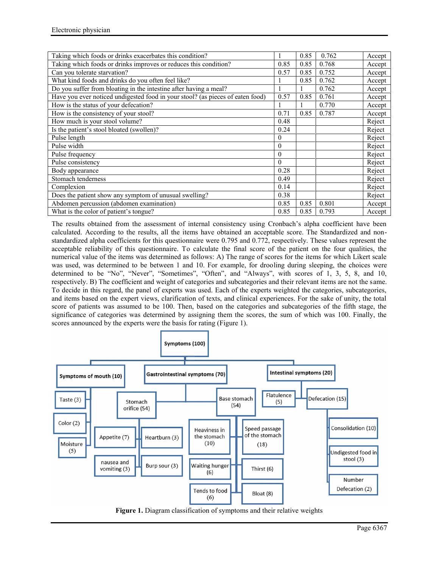| Taking which foods or drinks exacerbates this condition?                       | 1        | 0.85 | 0.762 | Accept |
|--------------------------------------------------------------------------------|----------|------|-------|--------|
| Taking which foods or drinks improves or reduces this condition?               | 0.85     | 0.85 | 0.768 | Accept |
| Can you tolerate starvation?                                                   |          | 0.85 | 0.752 | Accept |
| What kind foods and drinks do you often feel like?                             |          | 0.85 | 0.762 | Accept |
| Do you suffer from bloating in the intestine after having a meal?              |          |      | 0.762 | Accept |
| Have you ever noticed undigested food in your stool? (as pieces of eaten food) | 0.57     | 0.85 | 0.761 | Accept |
| How is the status of your defecation?                                          |          |      | 0.770 | Accept |
| How is the consistency of your stool?                                          | 0.71     | 0.85 | 0.787 | Accept |
| How much is your stool volume?                                                 | 0.48     |      |       | Reject |
| Is the patient's stool bloated (swollen)?                                      | 0.24     |      |       | Reject |
| Pulse length                                                                   | $\theta$ |      |       | Reject |
| Pulse width                                                                    | $\theta$ |      |       | Reject |
| Pulse frequency                                                                | $\theta$ |      |       | Reject |
| Pulse consistency                                                              | $\theta$ |      |       | Reject |
| Body appearance                                                                | 0.28     |      |       | Reject |
| Stomach tenderness                                                             | 0.49     |      |       | Reject |
| Complexion                                                                     | 0.14     |      |       | Reject |
| Does the patient show any symptom of unusual swelling?                         | 0.38     |      |       | Reject |
| Abdomen percussion (abdomen examination)                                       | 0.85     | 0.85 | 0.801 | Accept |
| What is the color of patient's tongue?                                         | 0.85     | 0.85 | 0.793 | Accept |

The results obtained from the assessment of internal consistency using Cronbach's alpha coefficient have been calculated. According to the results, all the items have obtained an acceptable score. The Standardized and non standardized alpha coefficients for this questionnaire were 0.795 and 0.772, respectively. These values represent the acceptable reliability of this questionnaire. To calculate the final score of the patient on the four qualities, the numerical value of the items was determined as follows: A) The range of scores for the items for which Likert scale was used, was determined to be between 1 and 10. For example, for drooling during sleeping, the choices were determined to be "No", "Never", "Sometimes", "Often", and "Always", with scores of 1, 3, 5, 8, and 10, respectively. B) The coefficient and weight of categories and subcategories and their relevant items are not the same. To decide in this regard, the panel of experts was used. Each of the experts weighted the categories, subcategories, and items based on the expert views, clarification of texts, and clinical experiences. For the sake of unity, the total score of patients was assumed to be 100. Then, based on the categories and subcategories of the fifth stage, the significance of categories was determined by assigning them the scores, the sum of which was 100. Finally, the scores announced by the experts were the basis for rating (Figure 1).



**Figure 1.** Diagram classification of symptoms and their relative weights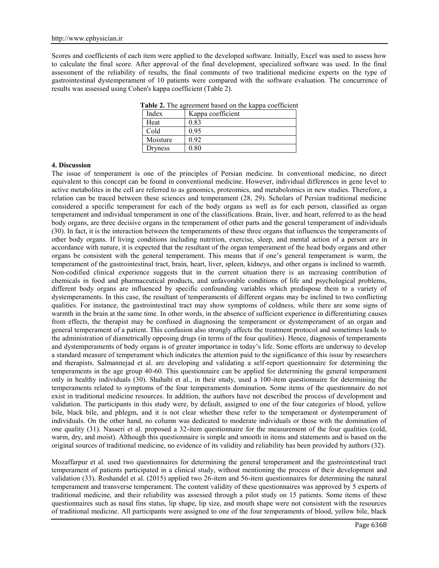Scores and coefficients of each item were applied to the developed software. Initially, Excel was used to assess how to calculate the final score. After approval of the final development, specialized software was used. In the final assessment of the reliability of results, the final comments of two traditional medicine experts on the type of gastrointestinal dystemperament of 10 patients were compared with the software evaluation. The concurrence of results was assessed using Cohen's kappa coefficient (Table 2).

| Index    | Kappa coefficient |
|----------|-------------------|
| Heat     | 0.83              |
| Cold     | 0.95              |
| Moisture | 0.92              |
| Dryness  | 0.80              |

**Table 2.** The agreement based on the kappa coefficient

#### **4. Discussion**

The issue of temperament is one of the principles of Persian medicine. In conventional medicine, no direct equivalent to this concept can be found in conventional medicine. However, individual differences in gene level to active metabolites in the cell are referred to as genomics, proteomics, and metabolomics in new studies. Therefore, a relation can be traced between these sciences and temperament (28, 29). Scholars of Persian traditional medicine considered a specific temperament for each of the body organs as well as for each person, classified as organ temperament and individual temperament in one of the classifications. Brain, liver, and heart, referred to as the head body organs, are three decisive organs in the temperament of other parts and the general temperament of individuals (30). In fact, it is the interaction between the temperaments of these three organs that influences the temperaments of other body organs. If living conditions including nutrition, exercise, sleep, and mental action of a person are in accordance with nature, it is expected that the resultant of the organ temperament of the head body organs and other organs be consistent with the general temperament. This means that if one's general temperament is warm, the temperament of the gastrointestinal tract, brain, heart, liver, spleen, kidneys, and other organs is inclined to warmth. Non-codified clinical experience suggests that in the current situation there is an increasing contribution of chemicals in food and pharmaceutical products, and unfavorable conditions of life and psychological problems, different body organs are influenced by specific confounding variables which predispose them to a variety of dystemperaments. In this case, the resultant of temperaments of different organs may be inclined to two conflicting qualities. For instance, the gastrointestinal tract may show symptoms of coldness, while there are some signs of warmth in the brain at the same time. In other words, in the absence of sufficient experience in differentiating causes from effects, the therapist may be confused in diagnosing the temperament or dystemperament of an organ and general temperament of a patient. This confusion also strongly affects the treatment protocol and sometimes leads to the administration of diametrically opposing drugs (in terms of the four qualities). Hence, diagnosis of temperaments and dystemperaments of body organs is of greater importance in today's life. Some efforts are underway to develop a standard measure of temperament which indicates the attention paid to the significance of this issue by researchers and therapists. Salmannejad et al. are developing and validating a self-report questionnaire for determining the temperaments in the age group 40-60. This questionnaire can be applied for determining the general temperament only in healthy individuals (30). Shahabi et al., in their study, used a 100-item questionnaire for determining the temperaments related to symptoms of the four temperaments domination. Some items of the questionnaire do not exist in traditional medicine resources. In addition, the authors have not described the process of development and validation. The participants in this study were, by default, assigned to one of the four categories of blood, yellow bile, black bile, and phlegm, and it is not clear whether these refer to the temperament or dystemperament of individuals. On the other hand, no column was dedicated to moderate individuals or those with the domination of one quality (31). Nasseri et al. proposed a 32-item questionnaire for the measurement of the four qualities (cold, warm, dry, and moist). Although this questionnaire is simple and smooth in items and statements and is based on the original sources of traditional medicine, no evidence of its validity and reliability has been provided by authors (32).

Mozaffarpur et al. used two questionnaires for determining the general temperament and the gastrointestinal tract temperament of patients participated in a clinical study, without mentioning the process of their development and validation (33). Roshandel et al. (2015) applied two 26-item and 56-item questionnaires for determining the natural temperament and transverse temperament. The content validity of these questionnaires was approved by 5 experts of traditional medicine, and their reliability was assessed through a pilot study on 15 patients. Some items of these questionnaires such as nasal fins status, lip shape, lip size, and mouth shape were not consistent with the resources of traditional medicine. All participants were assigned to one of the four temperaments of blood, yellow bile, black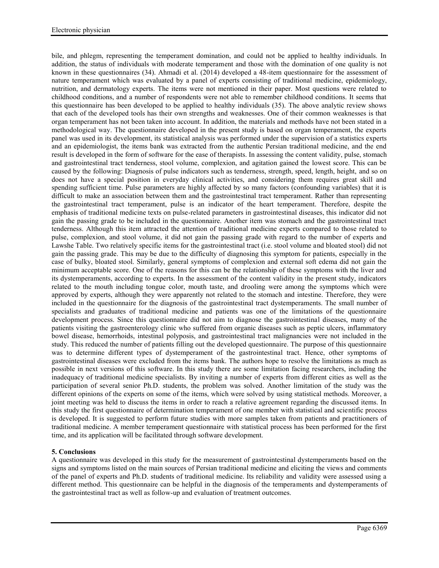bile, and phlegm, representing the temperament domination, and could not be applied to healthy individuals. In addition, the status of individuals with moderate temperament and those with the domination of one quality is not known in these questionnaires (34). Ahmadi et al. (2014) developed a 48-item questionnaire for the assessment of nature temperament which was evaluated by a panel of experts consisting of traditional medicine, epidemiology, nutrition, and dermatology experts. The items were not mentioned in their paper. Most questions were related to childhood conditions, and a number of respondents were not able to remember childhood conditions. It seems that this questionnaire has been developed to be applied to healthy individuals (35). The above analytic review shows that each of the developed tools has their own strengths and weaknesses. One of their common weaknesses is that organ temperament has not been taken into account. In addition, the materials and methods have not been stated in a methodological way. The questionnaire developed in the present study is based on organ temperament, the experts panel was used in its development, its statistical analysis was performed under the supervision of a statistics experts and an epidemiologist, the items bank was extracted from the authentic Persian traditional medicine, and the end result is developed in the form of software for the ease of therapists. In assessing the content validity, pulse, stomach and gastrointestinal tract tenderness, stool volume, complexion, and agitation gained the lowest score. This can be caused by the following: Diagnosis of pulse indicators such as tenderness, strength, speed, length, height, and so on does not have a special position in everyday clinical activities, and considering them requires great skill and spending sufficient time. Pulse parameters are highly affected by so many factors (confounding variables) that it is difficult to make an association between them and the gastrointestinal tract temperament. Rather than representing the gastrointestinal tract temperament, pulse is an indicator of the heart temperament. Therefore, despite the emphasis of traditional medicine texts on pulse-related parameters in gastrointestinal diseases, this indicator did not gain the passing grade to be included in the questionnaire. Another item was stomach and the gastrointestinal tract tenderness. Although this item attracted the attention of traditional medicine experts compared to those related to pulse, complexion, and stool volume, it did not gain the passing grade with regard to the number of experts and Lawshe Table. Two relatively specific items for the gastrointestinal tract (i.e. stool volume and bloated stool) did not gain the passing grade. This may be due to the difficulty of diagnosing this symptom for patients, especially in the case of bulky, bloated stool. Similarly, general symptoms of complexion and external soft edema did not gain the minimum acceptable score. One of the reasons for this can be the relationship of these symptoms with the liver and its dystemperaments, according to experts. In the assessment of the content validity in the present study, indicators related to the mouth including tongue color, mouth taste, and drooling were among the symptoms which were approved by experts, although they were apparently not related to the stomach and intestine. Therefore, they were included in the questionnaire for the diagnosis of the gastrointestinal tract dystemperaments. The small number of specialists and graduates of traditional medicine and patients was one of the limitations of the questionnaire development process. Since this questionnaire did not aim to diagnose the gastrointestinal diseases, many of the patients visiting the gastroenterology clinic who suffered from organic diseases such as peptic ulcers, inflammatory bowel disease, hemorrhoids, intestinal polyposis, and gastrointestinal tract malignancies were not included in the study. This reduced the number of patients filling out the developed questionnaire. The purpose of this questionnaire was to determine different types of dystemperament of the gastrointestinal tract. Hence, other symptoms of gastrointestinal diseases were excluded from the items bank. The authors hope to resolve the limitations as much as possible in next versions of this software. In this study there are some limitation facing researchers, including the inadequacy of traditional medicine specialists. By inviting a number of experts from different cities as well as the participation of several senior Ph.D. students, the problem was solved. Another limitation of the study was the different opinions of the experts on some of the items, which were solved by using statistical methods. Moreover, a joint meeting was held to discuss the items in order to reach a relative agreement regarding the discussed items. In this study the first questionnaire of determination temperament of one member with statistical and scientific process is developed. It is suggested to perform future studies with more samples taken from patients and practitioners of traditional medicine. A member temperament questionnaire with statistical process has been performed for the first time, and its application will be facilitated through software development.

# **5. Conclusions**

A questionnaire was developed in this study for the measurement of gastrointestinal dystemperaments based on the signs and symptoms listed on the main sources of Persian traditional medicine and eliciting the views and comments of the panel of experts and Ph.D. students of traditional medicine. Its reliability and validity were assessed using a different method. This questionnaire can be helpful in the diagnosis of the temperaments and dystemperaments of the gastrointestinal tract as well as follow-up and evaluation of treatment outcomes.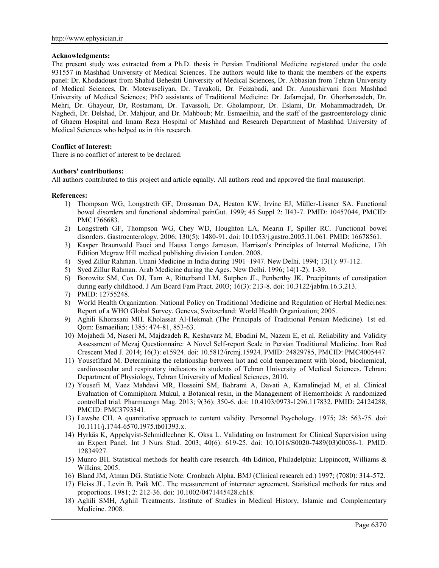#### **Acknowledgments:**

The present study was extracted from a Ph.D. thesis in Persian Traditional Medicine registered under the code 931557 in Mashhad University of Medical Sciences. The authors would like to thank the members of the experts panel: Dr. Khodadoust from Shahid Beheshti University of Medical Sciences, Dr. Abbasian from Tehran University of Medical Sciences, Dr. Motevaseliyan, Dr. Tavakoli, Dr. Feizabadi, and Dr. Anoushirvani from Mashhad University of Medical Sciences; PhD assistants of Traditional Medicine: Dr. Jafarnejad, Dr. Ghorbanzadeh, Dr. Mehri, Dr. Ghayour, Dr, Rostamani, Dr. Tavassoli, Dr. Gholampour, Dr. Eslami, Dr. Mohammadzadeh, Dr. Naghedi, Dr. Delshad, Dr. Mahjour, and Dr. Mahboub; Mr. Esmaeilnia, and the staff of the gastroenterology clinic of Ghaem Hospital and Imam Reza Hospital of Mashhad and Research Department of Mashhad University of Medical Sciences who helped us in this research.

# **Conflict of Interest:**

There is no conflict of interest to be declared.

# **Authors' contributions:**

All authors contributed to this project and article equally. All authors read and approved the final manuscript.

#### **References:**

- 1) Thompson WG, Longstreth GF, Drossman DA, Heaton KW, Irvine EJ, Müller-Lissner SA. Functional bowel disorders and functional abdominal painGut. 1999; 45 Suppl 2: II43-7. PMID: 10457044, PMCID: PMC1766683.
- 2) Longstreth GF, Thompson WG, Chey WD, Houghton LA, Mearin F, Spiller RC. Functional bowel disorders. Gastroenterology. 2006; 130(5): 1480-91. doi: 10.1053/j.gastro.2005.11.061. PMID: 16678561.
- 3) Kasper Braunwald Fauci and Hausa Longo Jameson. Harrison's Principles of Internal Medicine, 17th Edition Mcgraw Hill medical publishing division London. 2008.
- 4) Syed Zillur Rahman. Unani Medicine in India during 1901–1947. New Delhi. 1994; 13(1): 97-112.
- 5) Syed Zillur Rahman. Arab Medicine during the Ages. New Delhi. 1996; 14(1-2): 1-39.
- 6) Borowitz SM, Cox DJ, Tam A, Ritterband LM, Sutphen JL, Penberthy JK. Precipitants of constipation during early childhood. J Am Board Fam Pract. 2003; 16(3): 213-8. doi: 10.3122/jabfm.16.3.213.
- 7) PMID: 12755248.
- 8) World Health Organization. National Policy on Traditional Medicine and Regulation of Herbal Medicines: Report of a WHO Global Survey. Geneva, Switzerland: World Health Organization; 2005.
- 9) Aghili Khorasani MH. Kholassat Al-Hekmah (The Principals of Traditional Persian Medicine). 1st ed. Qom: Esmaeilian; 1385: 474-81, 853-63.
- 10) Mojahedi M, Naseri M, Majdzadeh R, Keshavarz M, Ebadini M, Nazem E, et al. Reliability and Validity Assessment of Mezaj Questionnaire: A Novel Self-report Scale in Persian Traditional Medicine. Iran Red Crescent Med J. 2014; 16(3): e15924. doi: 10.5812/ircmj.15924. PMID: 24829785, PMCID: PMC4005447.
- 11) Yousefifard M. Determining the relationship between hot and cold temperament with blood, biochemical, cardiovascular and respiratory indicators in students of Tehran University of Medical Sciences. Tehran: Department of Physiology, Tehran University of Medical Sciences, 2010.
- 12) Yousefi M, Vaez Mahdavi MR, Hosseini SM, Bahrami A, Davati A, Kamalinejad M, et al. Clinical Evaluation of Commiphora Mukul, a Botanical resin, in the Management of Hemorrhoids: A randomized controlled trial. Pharmacogn Mag. 2013; 9(36): 350-6. doi: 10.4103/0973-1296.117832. PMID: 24124288, PMCID: PMC3793341.
- 13) Lawshe CH. A quantitative approach to content validity. Personnel Psychology. 1975; 28: 563-75. doi: 10.1111/j.1744-6570.1975.tb01393.x.
- 14) Hyrkäs K, Appelqvist-Schmidlechner K, Oksa L. Validating on Instrument for Clinical Supervision using an Expert Panel. Int J Nurs Stud. 2003; 40(6): 619-25. doi: 10.1016/S0020-7489(03)00036-1. PMID: 12834927.
- 15) Munro BH. Statistical methods for health care research. 4th Edition, Philadelphia: Lippincott, Williams & Wilkins; 2005.
- 16) Bland JM, Atman DG. Statistic Note: Cronbach Alpha. BMJ (Clinical research ed.) 1997; (7080): 314-572.
- 17) Fleiss JL, Levin B, Paik MC. The measurement of interrater agreement. Statistical methods for rates and proportions. 1981; 2: 212-36. doi: 10.1002/0471445428.ch18.
- 18) Aghili SMH, Aghiil Treatments. Institute of Studies in Medical History, Islamic and Complementary Medicine. 2008.